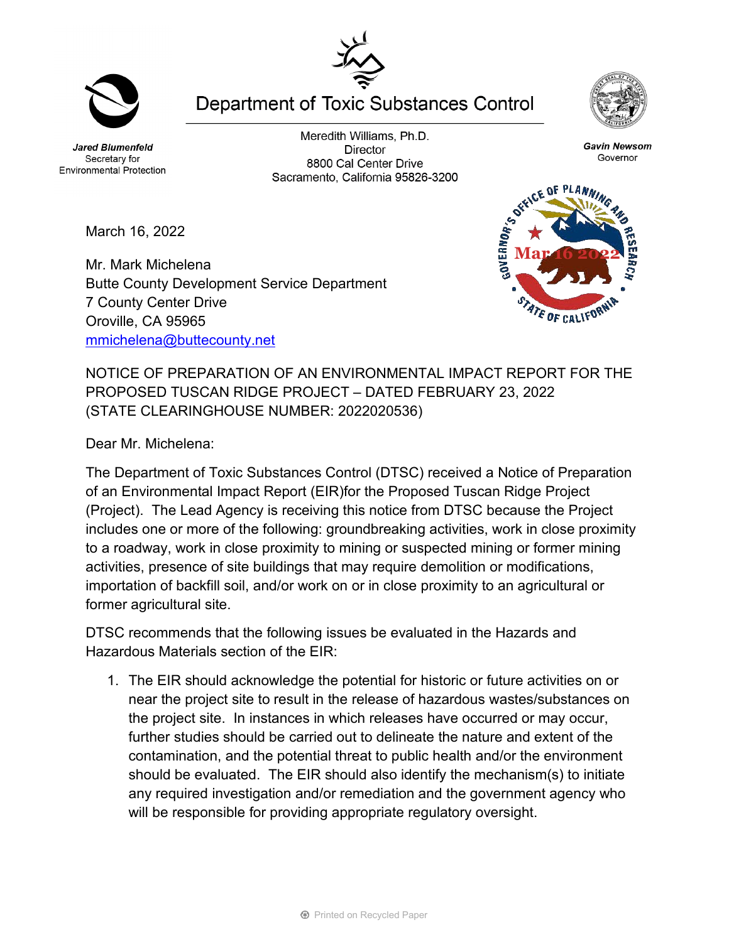**Jared Blumenfeld** Secretary for **Environmental Protection** 

Meredith Williams, Ph.D. **Director** 8800 Cal Center Drive Sacramento, California 95826-3200

**Department of Toxic Substances Control** 

March 16, 2022

Mr. Mark Michelena Butte County Development Service Department 7 County Center Drive Oroville, CA 95965 [mmichelena@buttecounty.net](mailto:mmichelena@buttecounty.net) 

NOTICE OF PREPARATION OF AN ENVIRONMENTAL IMPACT REPORT FOR THE PROPOSED TUSCAN RIDGE PROJECT – DATED FEBRUARY 23, 2022 (STATE CLEARINGHOUSE NUMBER: 2022020536)

Dear Mr. Michelena:

The Department of Toxic Substances Control (DTSC) received a Notice of Preparation of an Environmental Impact Report (EIR)for the Proposed Tuscan Ridge Project (Project). The Lead Agency is receiving this notice from DTSC because the Project includes one or more of the following: groundbreaking activities, work in close proximity to a roadway, work in close proximity to mining or suspected mining or former mining activities, presence of site buildings that may require demolition or modifications, importation of backfill soil, and/or work on or in close proximity to an agricultural or former agricultural site.

DTSC recommends that the following issues be evaluated in the Hazards and Hazardous Materials section of the EIR:

1. The EIR should acknowledge the potential for historic or future activities on or near the project site to result in the release of hazardous wastes/substances on the project site. In instances in which releases have occurred or may occur, further studies should be carried out to delineate the nature and extent of the contamination, and the potential threat to public health and/or the environment should be evaluated. The EIR should also identify the mechanism(s) to initiate any required investigation and/or remediation and the government agency who will be responsible for providing appropriate regulatory oversight.







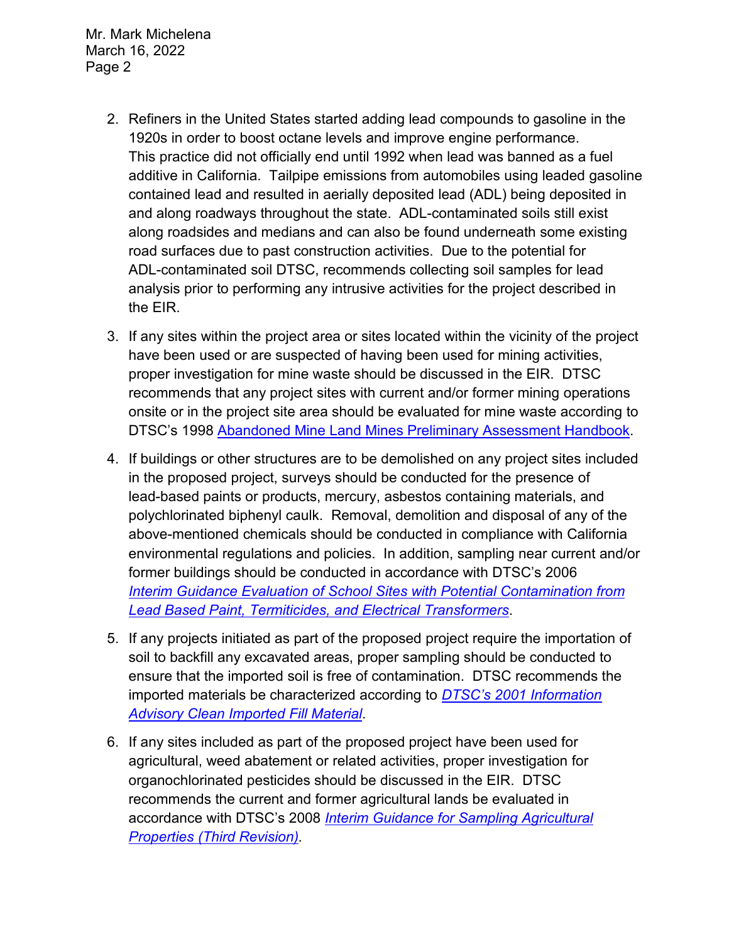Mr. Mark Michelena March 16, 2022 Page 2

- 2. Refiners in the United States started adding lead compounds to gasoline in the 1920s in order to boost octane levels and improve engine performance. This practice did not officially end until 1992 when lead was banned as a fuel additive in California. Tailpipe emissions from automobiles using leaded gasoline contained lead and resulted in aerially deposited lead (ADL) being deposited in and along roadways throughout the state. ADL-contaminated soils still exist along roadsides and medians and can also be found underneath some existing road surfaces due to past construction activities. Due to the potential for ADL-contaminated soil DTSC, recommends collecting soil samples for lead analysis prior to performing any intrusive activities for the project described in the EIR.
- 3. If any sites within the project area or sites located within the vicinity of the project have been used or are suspected of having been used for mining activities, proper investigation for mine waste should be discussed in the EIR. DTSC recommends that any project sites with current and/or former mining operations onsite or in the project site area should be evaluated for mine waste according to DTSC's 1998 [Abandoned Mine Land Mines Preliminary Assessment Handbook.](https://dtsc.ca.gov/2020/04/17/document-request/?wpf337186_14=https://dtsc.ca.gov/wp-content/uploads/sites/31/2018/11/aml_handbook.pdf)
- 4. If buildings or other structures are to be demolished on any project sites included in the proposed project, surveys should be conducted for the presence of lead-based paints or products, mercury, asbestos containing materials, and polychlorinated biphenyl caulk. Removal, demolition and disposal of any of the above-mentioned chemicals should be conducted in compliance with California environmental regulations and policies. In addition, sampling near current and/or former buildings should be conducted in accordance with DTSC's 2006 *Interim [Guidance Evaluation of School Sites with Potential Contamination from](https://dtsc.ca.gov/2020/04/17/document-request/?wpf337186_14=https://dtsc.ca.gov/wpcontent/uploads/sites/31/2018/09/Guidance_Lead_%20%20Contamination_050118.pdf)  [Lead Based Paint, Termiticides, and Electrical Transformers](https://dtsc.ca.gov/2020/04/17/document-request/?wpf337186_14=https://dtsc.ca.gov/wpcontent/uploads/sites/31/2018/09/Guidance_Lead_%20%20Contamination_050118.pdf)*.
- 5. If any projects initiated as part of the proposed project require the importation of soil to backfill any excavated areas, proper sampling should be conducted to ensure that the imported soil is free of contamination. DTSC recommends the imported materials be characterized according to *[DTSC's 2001 Information](https://dtsc.ca.gov/wp-content/uploads/sites/31/2018/09/SMP_FS_Cleanfill-Schools.pdf)  [Advisory Clean Imported Fill Material](https://dtsc.ca.gov/wp-content/uploads/sites/31/2018/09/SMP_FS_Cleanfill-Schools.pdf)*.
- 6. If any sites included as part of the proposed project have been used for agricultural, weed abatement or related activities, proper investigation for organochlorinated pesticides should be discussed in the EIR. DTSC recommends the current and former agricultural lands be evaluated in accordance with DTSC's 2008 *[Interim Guidance for Sampling Agricultural](https://dtsc.ca.gov/wp-content/uploads/sites/31/2018/09/Ag-Guidance-Rev-3-August-7-2008-2.pdf)  [Properties \(Third Revision\).](https://dtsc.ca.gov/wp-content/uploads/sites/31/2018/09/Ag-Guidance-Rev-3-August-7-2008-2.pdf)*